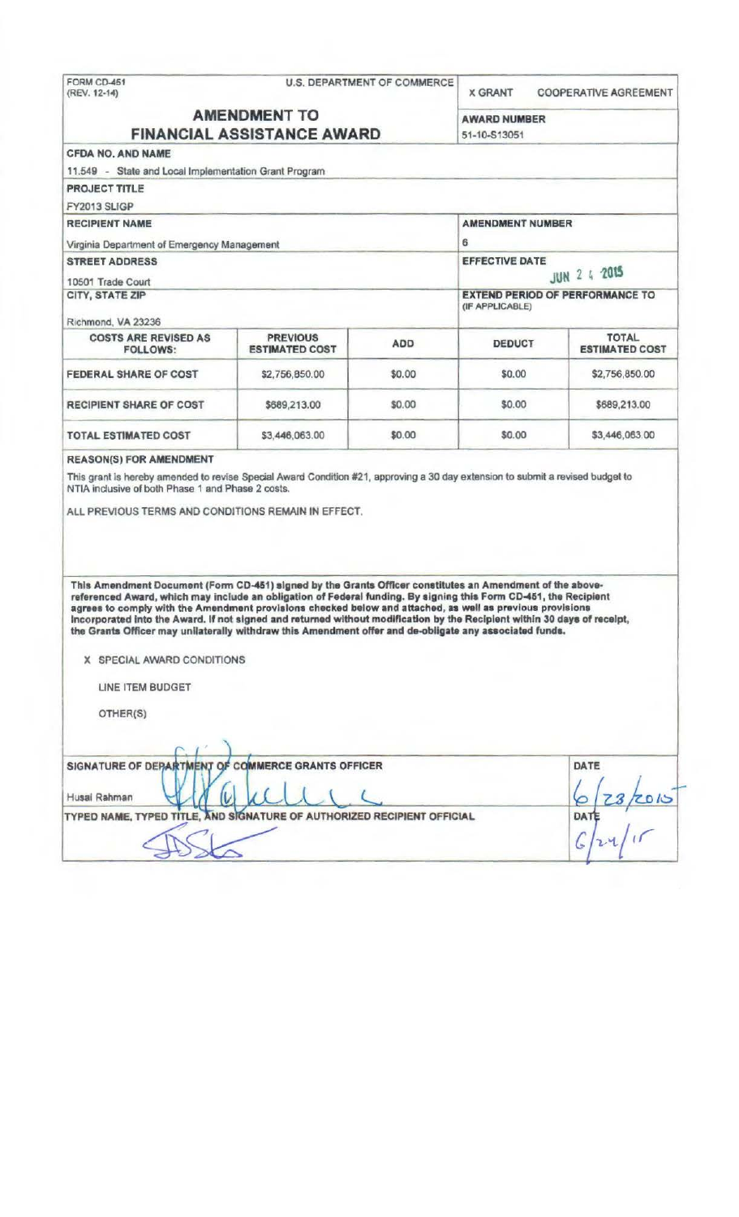|                                                                                                                                                                                                                                                                                                                                                                                                                                                                                                                                                                                                                 |                                          | <b>U.S. DEPARTMENT OF COMMERCE</b>     | <b>X GRANT</b>                        | <b>COOPERATIVE AGREEMENT</b>          |
|-----------------------------------------------------------------------------------------------------------------------------------------------------------------------------------------------------------------------------------------------------------------------------------------------------------------------------------------------------------------------------------------------------------------------------------------------------------------------------------------------------------------------------------------------------------------------------------------------------------------|------------------------------------------|----------------------------------------|---------------------------------------|---------------------------------------|
| <b>AMENDMENT TO</b><br><b>FINANCIAL ASSISTANCE AWARD</b>                                                                                                                                                                                                                                                                                                                                                                                                                                                                                                                                                        |                                          |                                        | <b>AWARD NUMBER</b><br>51-10-S13051   |                                       |
| <b>CFDA NO, AND NAME</b>                                                                                                                                                                                                                                                                                                                                                                                                                                                                                                                                                                                        |                                          |                                        |                                       |                                       |
| 11.549 - State and Local Implementation Grant Program                                                                                                                                                                                                                                                                                                                                                                                                                                                                                                                                                           |                                          |                                        |                                       |                                       |
| <b>PROJECT TITLE</b>                                                                                                                                                                                                                                                                                                                                                                                                                                                                                                                                                                                            |                                          |                                        |                                       |                                       |
| FY2013 SLIGP                                                                                                                                                                                                                                                                                                                                                                                                                                                                                                                                                                                                    |                                          |                                        |                                       |                                       |
| <b>RECIPIENT NAME</b>                                                                                                                                                                                                                                                                                                                                                                                                                                                                                                                                                                                           |                                          | <b>AMENDMENT NUMBER</b><br>6           |                                       |                                       |
| Virginia Department of Emergency Management                                                                                                                                                                                                                                                                                                                                                                                                                                                                                                                                                                     |                                          |                                        |                                       |                                       |
| <b>STREET ADDRESS</b>                                                                                                                                                                                                                                                                                                                                                                                                                                                                                                                                                                                           |                                          |                                        | <b>EFFECTIVE DATE</b><br>JUN 2 4 2015 |                                       |
| 10501 Trade Court                                                                                                                                                                                                                                                                                                                                                                                                                                                                                                                                                                                               |                                          |                                        |                                       |                                       |
| CITY, STATE ZIP                                                                                                                                                                                                                                                                                                                                                                                                                                                                                                                                                                                                 |                                          | <b>EXTEND PERIOD OF PERFORMANCE TO</b> |                                       |                                       |
|                                                                                                                                                                                                                                                                                                                                                                                                                                                                                                                                                                                                                 |                                          |                                        | (IF APPLICABLE)                       |                                       |
| Richmond, VA 23236                                                                                                                                                                                                                                                                                                                                                                                                                                                                                                                                                                                              |                                          |                                        |                                       |                                       |
| <b>COSTS ARE REVISED AS</b><br><b>FOLLOWS:</b>                                                                                                                                                                                                                                                                                                                                                                                                                                                                                                                                                                  | <b>PREVIOUS</b><br><b>ESTIMATED COST</b> | ADD                                    | <b>DEDUCT</b>                         | <b>TOTAL</b><br><b>ESTIMATED COST</b> |
| <b>FEDERAL SHARE OF COST</b>                                                                                                                                                                                                                                                                                                                                                                                                                                                                                                                                                                                    | \$2,756,850.00                           | \$0.00                                 | \$0.00                                | \$2,756,850.00                        |
| RECIPIENT SHARE OF COST                                                                                                                                                                                                                                                                                                                                                                                                                                                                                                                                                                                         | \$689,213.00                             | \$0.00                                 | \$0.00                                | \$689,213.00                          |
| <b>TOTAL ESTIMATED COST</b>                                                                                                                                                                                                                                                                                                                                                                                                                                                                                                                                                                                     | \$3,446,063.00                           | \$0.00                                 | \$0.00                                | \$3,446,063.00                        |
|                                                                                                                                                                                                                                                                                                                                                                                                                                                                                                                                                                                                                 |                                          |                                        |                                       |                                       |
|                                                                                                                                                                                                                                                                                                                                                                                                                                                                                                                                                                                                                 |                                          |                                        |                                       |                                       |
| This Amendment Document (Form CD-451) signed by the Grants Officer constitutes an Amendment of the above-<br>referenced Award, which may include an obligation of Federal funding. By signing this Form CD-451, the Recipient<br>agrees to comply with the Amendment provisions checked below and attached, as well as previous provisions<br>Incorporated into the Award. If not signed and returned without modification by the Recipient within 30 days of receipt,<br>the Grants Officer may unilaterally withdraw this Amendment offer and de-obligate any associated funds.<br>X SPECIAL AWARD CONDITIONS |                                          |                                        |                                       |                                       |
| LINE ITEM BUDGET                                                                                                                                                                                                                                                                                                                                                                                                                                                                                                                                                                                                |                                          |                                        |                                       |                                       |
|                                                                                                                                                                                                                                                                                                                                                                                                                                                                                                                                                                                                                 |                                          |                                        |                                       |                                       |
| OTHER(S)                                                                                                                                                                                                                                                                                                                                                                                                                                                                                                                                                                                                        |                                          |                                        |                                       |                                       |
|                                                                                                                                                                                                                                                                                                                                                                                                                                                                                                                                                                                                                 |                                          |                                        |                                       |                                       |
|                                                                                                                                                                                                                                                                                                                                                                                                                                                                                                                                                                                                                 |                                          |                                        |                                       |                                       |
|                                                                                                                                                                                                                                                                                                                                                                                                                                                                                                                                                                                                                 |                                          |                                        |                                       | DATE                                  |
| SIGNATURE OF DEPARTMENT OF COMMERCE GRANTS OFFICER<br>Husai Rahman                                                                                                                                                                                                                                                                                                                                                                                                                                                                                                                                              |                                          |                                        |                                       |                                       |
| TYPED NAME, TYPED TITLE, AND SIGNATURE OF AUTHORIZED RECIPIENT OFFICIAL                                                                                                                                                                                                                                                                                                                                                                                                                                                                                                                                         |                                          |                                        |                                       | <b>DATE</b>                           |